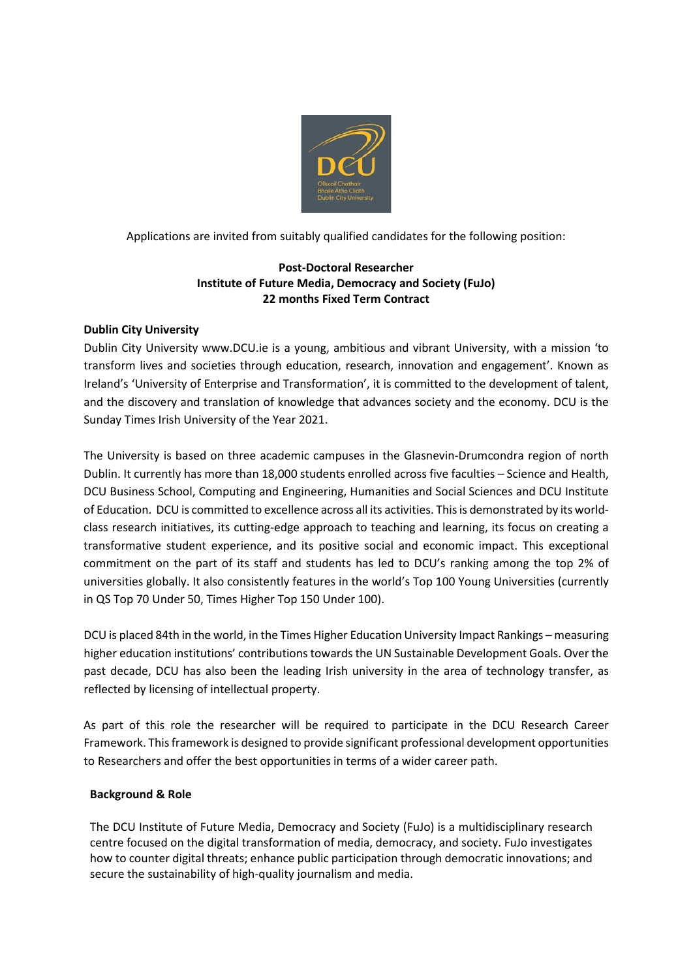

Applications are invited from suitably qualified candidates for the following position:

## **Post-Doctoral Researcher Institute of Future Media, Democracy and Society (FuJo) 22 months Fixed Term Contract**

# **Dublin City University**

Dublin City University www.DCU.ie is a young, ambitious and vibrant University, with a mission 'to transform lives and societies through education, research, innovation and engagement'. Known as Ireland's 'University of Enterprise and Transformation', it is committed to the development of talent, and the discovery and translation of knowledge that advances society and the economy. DCU is the Sunday Times Irish University of the Year 2021.

The University is based on three academic campuses in the Glasnevin-Drumcondra region of north Dublin. It currently has more than 18,000 students enrolled across five faculties – Science and Health, DCU Business School, Computing and Engineering, Humanities and Social Sciences and DCU Institute of Education. DCU is committed to excellence across all its activities. This is demonstrated by its worldclass research initiatives, its cutting-edge approach to teaching and learning, its focus on creating a transformative student experience, and its positive social and economic impact. This exceptional commitment on the part of its staff and students has led to DCU's ranking among the top 2% of universities globally. It also consistently features in the world's Top 100 Young Universities (currently in QS Top 70 Under 50, Times Higher Top 150 Under 100).

DCU is placed 84th in the world, in the Times Higher Education University Impact Rankings – measuring higher education institutions' contributions towards the UN Sustainable Development Goals. Over the past decade, DCU has also been the leading Irish university in the area of technology transfer, as reflected by licensing of intellectual property.

As part of this role the researcher will be required to participate in the DCU Research Career Framework. This framework is designed to provide significant professional development opportunities to Researchers and offer the best opportunities in terms of a wider career path.

## **Background & Role**

The DCU Institute of Future Media, Democracy and Society (FuJo) is a multidisciplinary research centre focused on the digital transformation of media, democracy, and society. FuJo investigates how to counter digital threats; enhance public participation through democratic innovations; and secure the sustainability of high-quality journalism and media.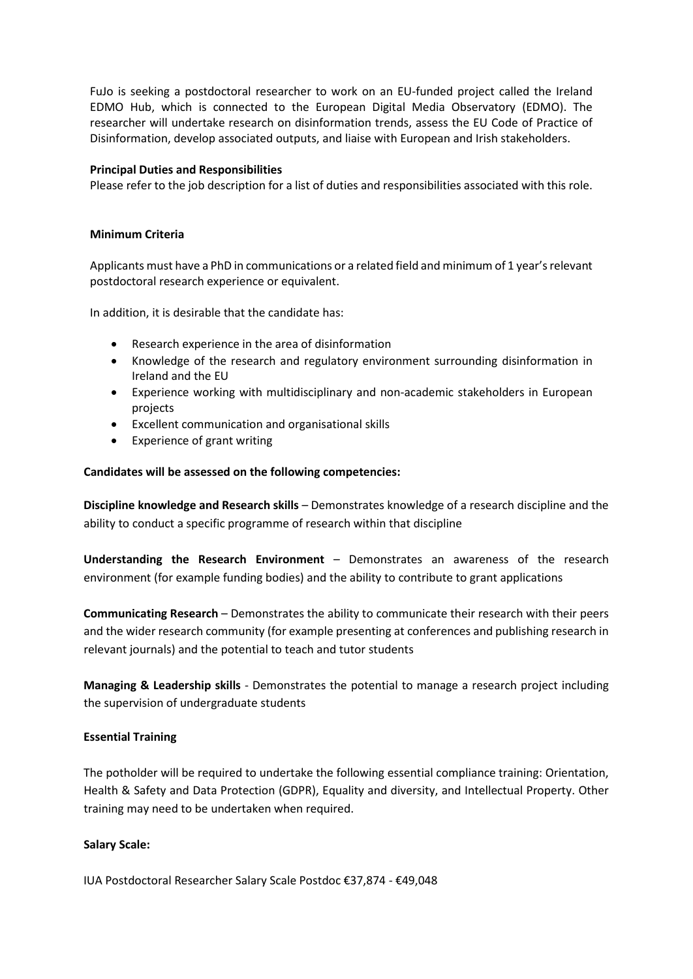FuJo is seeking a postdoctoral researcher to work on an EU-funded project called the Ireland EDMO Hub, which is connected to the European Digital Media Observatory (EDMO). The researcher will undertake research on disinformation trends, assess the EU Code of Practice of Disinformation, develop associated outputs, and liaise with European and Irish stakeholders.

#### **Principal Duties and Responsibilities**

Please refer to the job description for a list of duties and responsibilities associated with this role.

#### **Minimum Criteria**

Applicants must have a PhD in communications or a related field and minimum of 1 year's relevant postdoctoral research experience or equivalent.

In addition, it is desirable that the candidate has:

- Research experience in the area of disinformation
- Knowledge of the research and regulatory environment surrounding disinformation in Ireland and the EU
- Experience working with multidisciplinary and non-academic stakeholders in European projects
- Excellent communication and organisational skills
- Experience of grant writing

### **Candidates will be assessed on the following competencies:**

**Discipline knowledge and Research skills** – Demonstrates knowledge of a research discipline and the ability to conduct a specific programme of research within that discipline

**Understanding the Research Environment** – Demonstrates an awareness of the research environment (for example funding bodies) and the ability to contribute to grant applications

**Communicating Research** – Demonstrates the ability to communicate their research with their peers and the wider research community (for example presenting at conferences and publishing research in relevant journals) and the potential to teach and tutor students

**Managing & Leadership skills** - Demonstrates the potential to manage a research project including the supervision of undergraduate students

#### **Essential Training**

The potholder will be required to undertake the following essential compliance training: Orientation, Health & Safety and Data Protection (GDPR), Equality and diversity, and Intellectual Property. Other training may need to be undertaken when required.

#### **Salary Scale:**

IUA Postdoctoral Researcher Salary Scale Postdoc €37,874 - €49,048